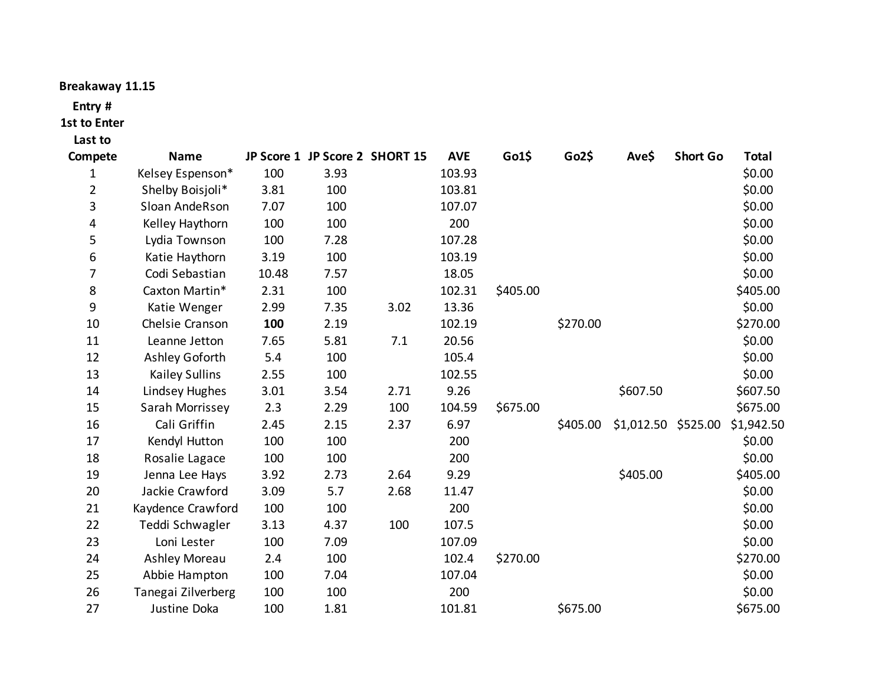## **Breakaway 11.15**

## **Entry #**

## **1st to Enter**

## **Last to**

| Compete        | <b>Name</b>           |       | JP Score 1 JP Score 2 SHORT 15 |      | <b>AVE</b> | Go1\$    | Go2\$    | Ave\$      | <b>Short Go</b> | <b>Total</b> |
|----------------|-----------------------|-------|--------------------------------|------|------------|----------|----------|------------|-----------------|--------------|
| 1              | Kelsey Espenson*      | 100   | 3.93                           |      | 103.93     |          |          |            |                 | \$0.00       |
| $\overline{2}$ | Shelby Boisjoli*      | 3.81  | 100                            |      | 103.81     |          |          |            |                 | \$0.00       |
| 3              | Sloan AndeRson        | 7.07  | 100                            |      | 107.07     |          |          |            |                 | \$0.00       |
| 4              | Kelley Haythorn       | 100   | 100                            |      | 200        |          |          |            |                 | \$0.00       |
| 5              | Lydia Townson         | 100   | 7.28                           |      | 107.28     |          |          |            |                 | \$0.00       |
| 6              | Katie Haythorn        | 3.19  | 100                            |      | 103.19     |          |          |            |                 | \$0.00       |
| 7              | Codi Sebastian        | 10.48 | 7.57                           |      | 18.05      |          |          |            |                 | \$0.00       |
| 8              | Caxton Martin*        | 2.31  | 100                            |      | 102.31     | \$405.00 |          |            |                 | \$405.00     |
| 9              | Katie Wenger          | 2.99  | 7.35                           | 3.02 | 13.36      |          |          |            |                 | \$0.00       |
| 10             | Chelsie Cranson       | 100   | 2.19                           |      | 102.19     |          | \$270.00 |            |                 | \$270.00     |
| 11             | Leanne Jetton         | 7.65  | 5.81                           | 7.1  | 20.56      |          |          |            |                 | \$0.00       |
| 12             | Ashley Goforth        | 5.4   | 100                            |      | 105.4      |          |          |            |                 | \$0.00       |
| 13             | <b>Kailey Sullins</b> | 2.55  | 100                            |      | 102.55     |          |          |            |                 | \$0.00       |
| 14             | Lindsey Hughes        | 3.01  | 3.54                           | 2.71 | 9.26       |          |          | \$607.50   |                 | \$607.50     |
| 15             | Sarah Morrissey       | 2.3   | 2.29                           | 100  | 104.59     | \$675.00 |          |            |                 | \$675.00     |
| 16             | Cali Griffin          | 2.45  | 2.15                           | 2.37 | 6.97       |          | \$405.00 | \$1,012.50 | \$525.00        | \$1,942.50   |
| 17             | Kendyl Hutton         | 100   | 100                            |      | 200        |          |          |            |                 | \$0.00       |
| 18             | Rosalie Lagace        | 100   | 100                            |      | 200        |          |          |            |                 | \$0.00       |
| 19             | Jenna Lee Hays        | 3.92  | 2.73                           | 2.64 | 9.29       |          |          | \$405.00   |                 | \$405.00     |
| 20             | Jackie Crawford       | 3.09  | 5.7                            | 2.68 | 11.47      |          |          |            |                 | \$0.00       |
| 21             | Kaydence Crawford     | 100   | 100                            |      | 200        |          |          |            |                 | \$0.00       |
| 22             | Teddi Schwagler       | 3.13  | 4.37                           | 100  | 107.5      |          |          |            |                 | \$0.00       |
| 23             | Loni Lester           | 100   | 7.09                           |      | 107.09     |          |          |            |                 | \$0.00       |
| 24             | Ashley Moreau         | 2.4   | 100                            |      | 102.4      | \$270.00 |          |            |                 | \$270.00     |
| 25             | Abbie Hampton         | 100   | 7.04                           |      | 107.04     |          |          |            |                 | \$0.00       |
| 26             | Tanegai Zilverberg    | 100   | 100                            |      | 200        |          |          |            |                 | \$0.00       |
| 27             | Justine Doka          | 100   | 1.81                           |      | 101.81     |          | \$675.00 |            |                 | \$675.00     |